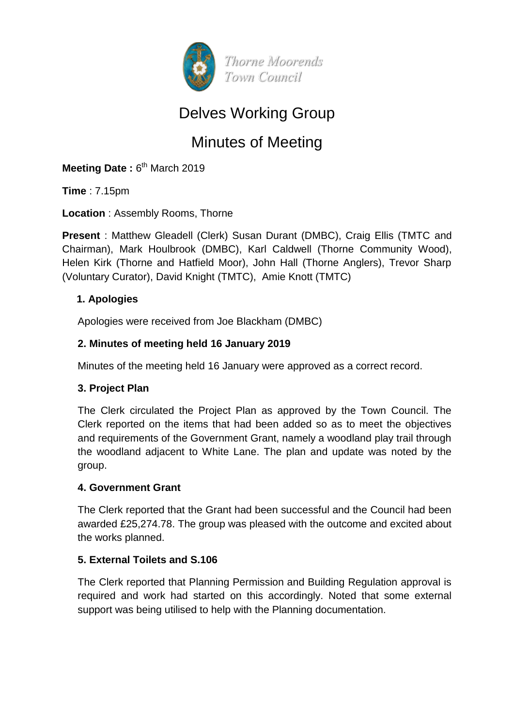

# Delves Working Group

# Minutes of Meeting

Meeting Date: 6<sup>th</sup> March 2019

**Time** : 7.15pm

**Location** : Assembly Rooms, Thorne

**Present** : Matthew Gleadell (Clerk) Susan Durant (DMBC), Craig Ellis (TMTC and Chairman), Mark Houlbrook (DMBC), Karl Caldwell (Thorne Community Wood), Helen Kirk (Thorne and Hatfield Moor), John Hall (Thorne Anglers), Trevor Sharp (Voluntary Curator), David Knight (TMTC), Amie Knott (TMTC)

# **1. Apologies**

Apologies were received from Joe Blackham (DMBC)

# **2. Minutes of meeting held 16 January 2019**

Minutes of the meeting held 16 January were approved as a correct record.

#### **3. Project Plan**

The Clerk circulated the Project Plan as approved by the Town Council. The Clerk reported on the items that had been added so as to meet the objectives and requirements of the Government Grant, namely a woodland play trail through the woodland adjacent to White Lane. The plan and update was noted by the group.

#### **4. Government Grant**

The Clerk reported that the Grant had been successful and the Council had been awarded £25,274.78. The group was pleased with the outcome and excited about the works planned.

#### **5. External Toilets and S.106**

The Clerk reported that Planning Permission and Building Regulation approval is required and work had started on this accordingly. Noted that some external support was being utilised to help with the Planning documentation.